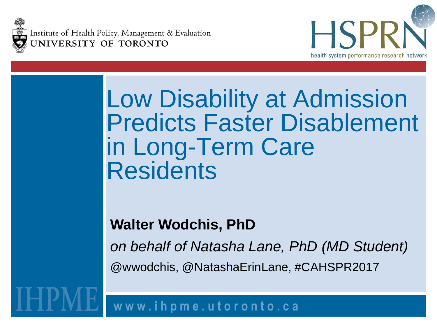Institute of Health Policy, Management & Evaluation UNIVERSITY OF TORONTO



#### Low Disability at Admission Predicts Faster Disablement in Long-Term Care **Residents**

#### **Walter Wodchis, PhD**

*on behalf of Natasha Lane, PhD (MD Student)* @wwodchis, @NatashaErinLane, #CAHSPR2017

**w w w . i h p m e . u t o r o n t o . c a**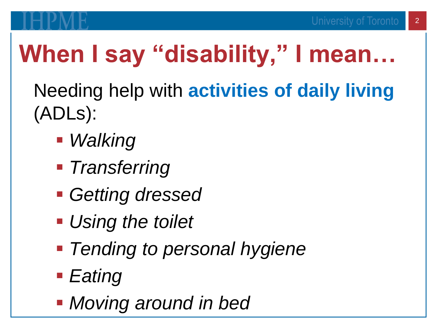## **When I say "disability," I mean…**

Needing help with **activities of daily living**  (ADLs):

- *Walking*
- *Transferring*
- *Getting dressed*
- *Using the toilet*
- *Tending to personal hygiene*
- *Eating*
- *Moving around in bed*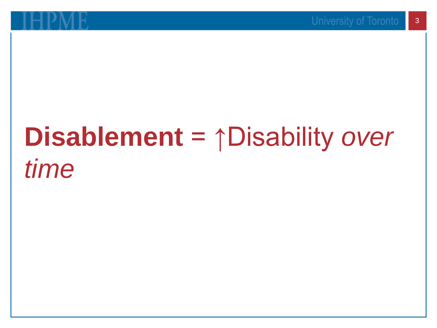## **Disablement** = ↑Disability *over time*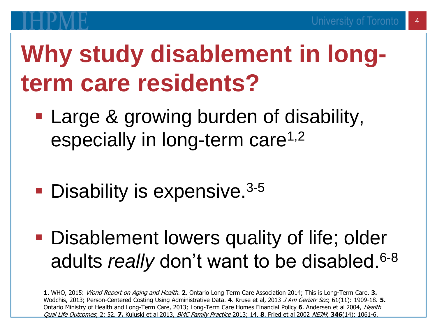### **Why study disablement in longterm care residents?**

- **Large & growing burden of disability,** especially in long-term care<sup>1,2</sup>
- **Disability is expensive.**<sup>3-5</sup>

**• Disablement lowers quality of life; older** adults *really* don't want to be disabled.6-8

**1**. WHO, 2015: World Report on Aging and Health. **2**. Ontario Long Term Care Association 2014; This is Long-Term Care. **3.** Wodchis, 2013; Person-Centered Costing Using Administrative Data. **4**. Kruse et al, 2013 J Am Geriatr Soc; 61(11): 1909-18. **5.** Ontario Ministry of Health and Long-Term Care, 2013; Long-Term Care Homes Financial Policy **6**. Andersen et al 2004, Health Qual Life Outcomes; 2: 52. **7.** Kuluski et al 2013, BMC Family Practice 2013; 14. **8**. Fried et al 2002 NEJM; **346**(14): 1061-6.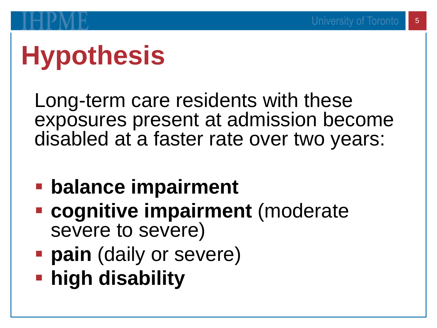# **Hypothesis**

Long-term care residents with these exposures present at admission become disabled at a faster rate over two years:

- **balance impairment**
- **Exagnitive impairment** (moderate severe to severe)
- **Pain** (daily or severe)
- **high disability**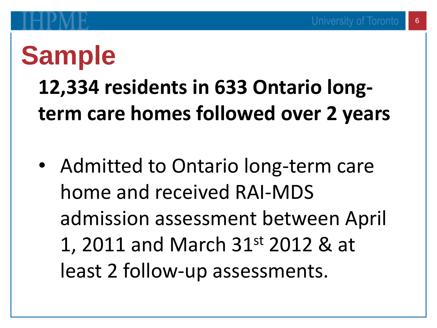## **Sample**

#### **12,334 residents in 633 Ontario longterm care homes followed over 2 years**

• Admitted to Ontario long-term care home and received RAI-MDS admission assessment between April 1, 2011 and March 31st 2012 & at least 2 follow-up assessments.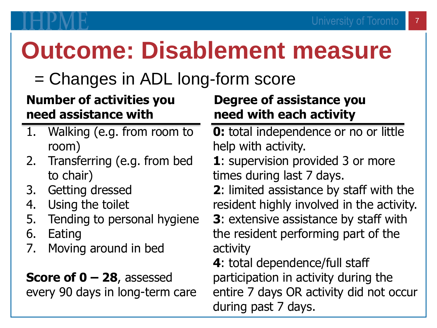### **Outcome: Disablement measure**

#### = Changes in ADL long-form score

#### **Number of activities you need assistance with**

- 1. Walking (e.g. from room to room)
- 2. Transferring (e.g. from bed to chair)
- 3. Getting dressed
- 4. Using the toilet
- 5. Tending to personal hygiene
- 6. Eating
- 7. Moving around in bed

**Score of 0 – 28**, assessed every 90 days in long-term care

#### **Degree of assistance you need with each activity**

**0:** total independence or no or little help with activity.

**1**: supervision provided 3 or more times during last 7 days.

**2**: limited assistance by staff with the resident highly involved in the activity.

**3**: extensive assistance by staff with the resident performing part of the activity

**4**: total dependence/full staff participation in activity during the entire 7 days OR activity did not occur during past 7 days.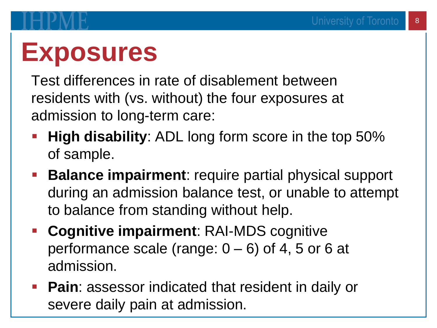# **Exposures**

Test differences in rate of disablement between residents with (vs. without) the four exposures at admission to long-term care:

- **High disability:** ADL long form score in the top 50% of sample.
- **Balance impairment**: require partial physical support during an admission balance test, or unable to attempt to balance from standing without help.
- **Cognitive impairment**: RAI-MDS cognitive performance scale (range:  $0 - 6$ ) of 4, 5 or 6 at admission.
- **Pain: assessor indicated that resident in daily or** severe daily pain at admission.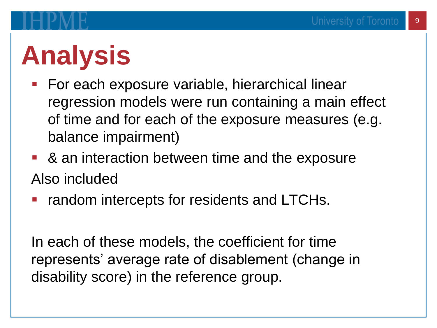# **Analysis**

- For each exposure variable, hierarchical linear regression models were run containing a main effect of time and for each of the exposure measures (e.g. balance impairment)
- & an interaction between time and the exposure Also included
- **random intercepts for residents and LTCHs.**

In each of these models, the coefficient for time represents' average rate of disablement (change in disability score) in the reference group.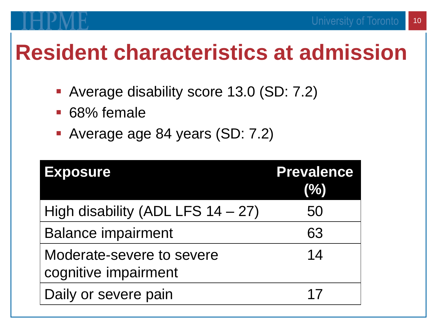#### 10

#### **Resident characteristics at admission**

- Average disability score 13.0 (SD: 7.2)
- 68% female
- Average age 84 years (SD: 7.2)

| <b>Exposure</b>                                   | <b>Prevalence</b><br>(%) |
|---------------------------------------------------|--------------------------|
| High disability (ADL LFS $14 - 27$ )              | 50                       |
| <b>Balance impairment</b>                         | 63                       |
| Moderate-severe to severe<br>cognitive impairment | 14                       |
| Daily or severe pain                              | 17                       |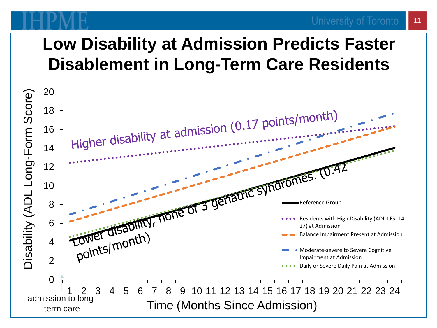#### **Low Disability at Admission Predicts Faster Disablement in Long-Term Care Residents**



University of Toronto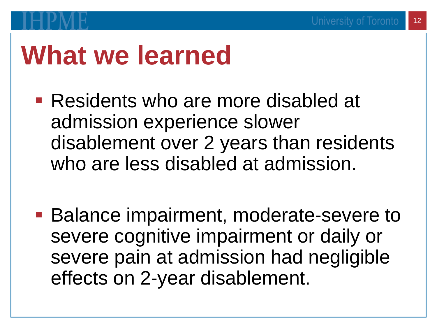### **What we learned**

- Residents who are more disabled at admission experience slower disablement over 2 years than residents who are less disabled at admission.
- Balance impairment, moderate-severe to severe cognitive impairment or daily or severe pain at admission had negligible effects on 2-year disablement.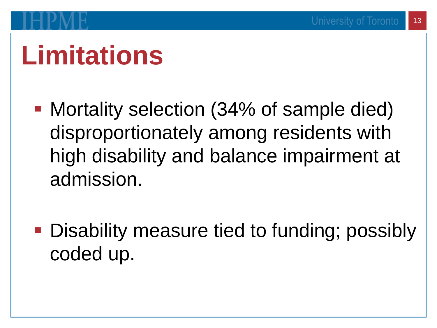## **Limitations**

- Mortality selection (34% of sample died) disproportionately among residents with high disability and balance impairment at admission.
- Disability measure tied to funding; possibly coded up.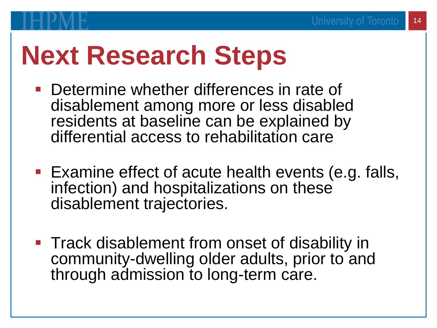## **Next Research Steps**

- **Determine whether differences in rate of** disablement among more or less disabled residents at baseline can be explained by differential access to rehabilitation care
- Examine effect of acute health events (e.g. falls, infection) and hospitalizations on these disablement trajectories.
- Track disablement from onset of disability in community-dwelling older adults, prior to and through admission to long-term care.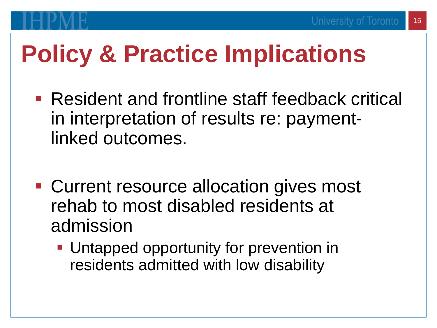### **Policy & Practice Implications**

- Resident and frontline staff feedback critical in interpretation of results re: paymentlinked outcomes.
- Current resource allocation gives most rehab to most disabled residents at admission
	- Untapped opportunity for prevention in residents admitted with low disability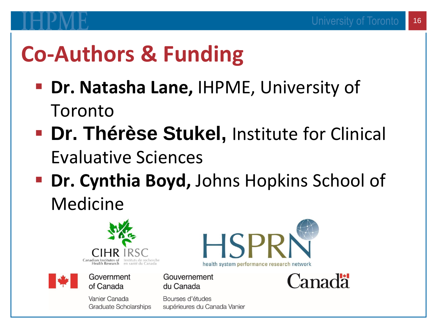#### **Co-Authors & Funding**

- **Dr. Natasha Lane,** IHPME, University of Toronto
- **E. Dr. Thérèse Stukel, Institute for Clinical** Evaluative Sciences
- **Dr. Cynthia Boyd, Johns Hopkins School of** Medicine



#### Government of Canada

Vanier Canada **Graduate Scholarships** 



Gouvernement du Canada

Bourses d'études supérieures du Canada Vanier